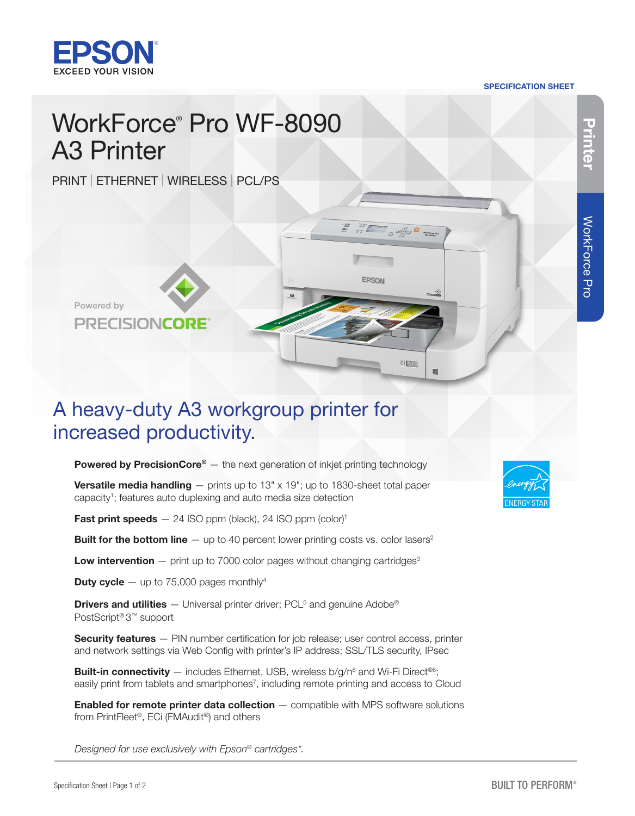

#### SPECIFICATION SHEET

 $\begin{array}{|c|c|c|c|c|}\hline \rule{0pt}{16pt}\quad & \quad \quad & \quad \quad & \quad \quad & \quad \quad & \quad \quad \\ \hline \rule{0pt}{2pt} \begin{array}{c} \rule{0pt}{2pt} \rule{0pt}{2pt} \rule{0pt}{2pt} \rule{0pt}{2pt} \rule{0pt}{2pt} \rule{0pt}{2pt} \rule{0pt}{2pt} \rule{0pt}{2pt} \rule{0pt}{2pt} \rule{0pt}{2pt} \rule{0pt}{2pt} \rule{0pt}{2pt} \rule{0pt}{2pt} \rule{0pt}{2pt} \rule{0pt}{2pt} \rule{0pt}{2pt} \$ 

 $C1$   $A3$ 

## WorkForce® Pro WF-8090 A3 Printer

PRINT | ETHERNET | WIRELESS | PCL/PS



## A heavy-duty A3 workgroup printer for increased productivity.

**Powered by PrecisionCore®** — the next generation of inkjet printing technology

**Versatile media handling**  $-$  prints up to 13" x 19"; up to 1830-sheet total paper capacity<sup>1</sup>; features auto duplexing and auto media size detection

**Fast print speeds**  $- 24$  ISO ppm (black), 24 ISO ppm (color)<sup>†</sup>

**Built for the bottom line**  $-$  up to 40 percent lower printing costs vs. color lasers<sup>2</sup>

**Low intervention**  $-$  print up to 7000 color pages without changing cartridges<sup>3</sup>

**Duty cycle** — up to 75,000 pages monthly<sup>4</sup>

**Drivers and utilities**  $-$  Universal printer driver; PCL<sup>5</sup> and genuine Adobe<sup>®</sup> PostScript® 3™ support

Security features – PIN number certification for job release; user control access, printer and network settings via Web Config with printer's IP address; SSL/TLS security, IPsec

**Built-in connectivity**  $-$  includes Ethernet, USB, wireless b/g/n<sup>6</sup> and Wi-Fi Direct<sup>®6</sup>; easily print from tablets and smartphones<sup>7</sup>, including remote printing and access to Cloud

**Enabled for remote printer data collection** — compatible with MPS software solutions from PrintFleet®, ECi (FMAudit®) and others

*Designed for use exclusively with Epson® cartridges\*.*



WorkForce Pro

**WorkForce Pro**